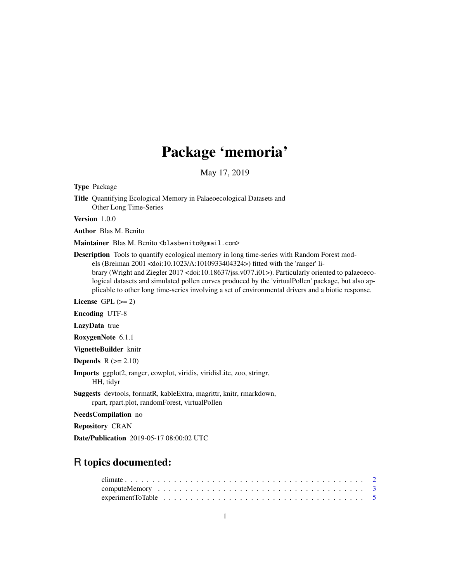## Package 'memoria'

May 17, 2019

<span id="page-0-0"></span>Type Package

Title Quantifying Ecological Memory in Palaeoecological Datasets and Other Long Time-Series

Version 1.0.0

Author Blas M. Benito

Maintainer Blas M. Benito <blasbenito@gmail.com>

Description Tools to quantify ecological memory in long time-series with Random Forest models (Breiman 2001 <doi:10.1023/A:1010933404324>) fitted with the 'ranger' library (Wright and Ziegler 2017 <doi:10.18637/jss.v077.i01>). Particularly oriented to palaeoecological datasets and simulated pollen curves produced by the 'virtualPollen' package, but also applicable to other long time-series involving a set of environmental drivers and a biotic response.

License GPL  $(>= 2)$ 

Encoding UTF-8

LazyData true

RoxygenNote 6.1.1

VignetteBuilder knitr

**Depends**  $R$  ( $>= 2.10$ )

Imports ggplot2, ranger, cowplot, viridis, viridisLite, zoo, stringr, HH, tidyr

Suggests devtools, formatR, kableExtra, magrittr, knitr, rmarkdown, rpart, rpart.plot, randomForest, virtualPollen

NeedsCompilation no

Repository CRAN

Date/Publication 2019-05-17 08:00:02 UTC

## R topics documented:

| experiment To Table $\ldots \ldots \ldots \ldots \ldots \ldots \ldots \ldots \ldots \ldots \ldots \ldots \ldots$ |  |  |  |  |  |  |  |  |  |  |  |  |  |  |  |  |  |  |  |  |
|------------------------------------------------------------------------------------------------------------------|--|--|--|--|--|--|--|--|--|--|--|--|--|--|--|--|--|--|--|--|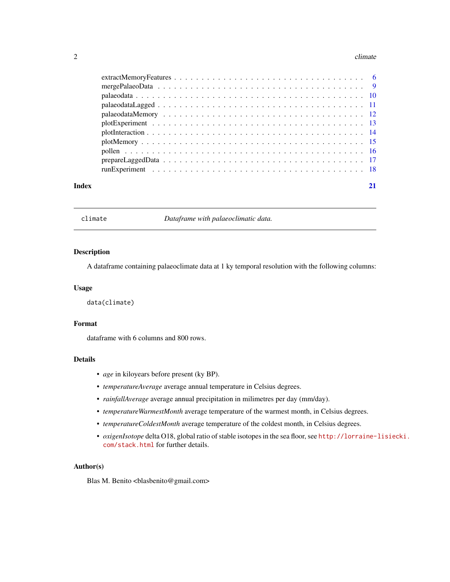#### <span id="page-1-0"></span>2 climate  $\sim$  climate  $\sim$  climate  $\sim$  climate  $\sim$  climate  $\sim$  climate  $\sim$  climate  $\sim$  climate  $\sim$  climate  $\sim$  climate  $\sim$  climate  $\sim$  climate  $\sim$  climate  $\sim$  climate  $\sim$  climate  $\sim$  climate  $\sim$  climate  $\sim$

#### **Index** [21](#page-20-0)

<span id="page-1-1"></span>climate *Dataframe with palaeoclimatic data.*

#### Description

A dataframe containing palaeoclimate data at 1 ky temporal resolution with the following columns:

#### Usage

data(climate)

#### Format

dataframe with 6 columns and 800 rows.

## Details

- *age* in kiloyears before present (ky BP).
- *temperatureAverage* average annual temperature in Celsius degrees.
- *rainfallAverage* average annual precipitation in milimetres per day (mm/day).
- *temperatureWarmestMonth* average temperature of the warmest month, in Celsius degrees.
- *temperatureColdestMonth* average temperature of the coldest month, in Celsius degrees.
- *oxigenIsotope* delta O18, global ratio of stable isotopes in the sea floor, see [http://lorraine-](http://lorraine-lisiecki.com/stack.html)lisiecki. [com/stack.html](http://lorraine-lisiecki.com/stack.html) for further details.

#### Author(s)

Blas M. Benito <br/> <br/>blasbenito@gmail.com>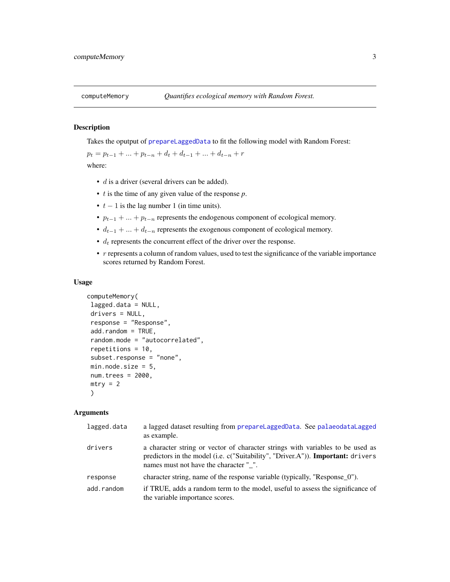<span id="page-2-1"></span><span id="page-2-0"></span>

#### Description

Takes the oputput of [prepareLaggedData](#page-16-1) to fit the following model with Random Forest:

 $p_t = p_{t-1} + \ldots + p_{t-n} + d_t + d_{t-1} + \ldots + d_{t-n} + r$ where:

- *d* is a driver (several drivers can be added).
- t is the time of any given value of the response *p*.
- $t 1$  is the lag number 1 (in time units).
- $p_{t-1} + ... + p_{t-n}$  represents the endogenous component of ecological memory.
- $d_{t-1} + \ldots + d_{t-n}$  represents the exogenous component of ecological memory.
- $\bullet$   $d_t$  represents the concurrent effect of the driver over the response.
- r represents a column of random values, used to test the significance of the variable importance scores returned by Random Forest.

#### Usage

```
computeMemory(
lagged.data = NULL,
drivers = NULL,
response = "Response",
add.random = TRUE,
random.mode = "autocorrelated",
repetitions = 10,
subset.response = "none",
min.node.size = 5,
num.trees = 2000,
mtry = 2\lambda
```
#### Arguments

| lagged.data | a lagged dataset resulting from prepareLaggedData. See palaeodataLagged<br>as example.                                                                                                                             |
|-------------|--------------------------------------------------------------------------------------------------------------------------------------------------------------------------------------------------------------------|
| drivers     | a character string or vector of character strings with variables to be used as<br>predictors in the model (i.e. c("Suitability", "Driver.A")). <b>Important:</b> drivers<br>names must not have the character " ". |
| response    | character string, name of the response variable (typically, "Response 0").                                                                                                                                         |
| add.random  | if TRUE, adds a random term to the model, useful to assess the significance of<br>the variable importance scores.                                                                                                  |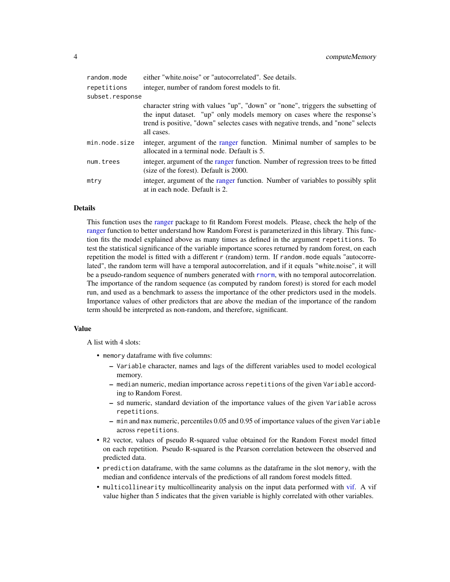<span id="page-3-0"></span>

| random.mode     | either "white.noise" or "autocorrelated". See details.                                                                                                                                                                                                         |
|-----------------|----------------------------------------------------------------------------------------------------------------------------------------------------------------------------------------------------------------------------------------------------------------|
| repetitions     | integer, number of random forest models to fit.                                                                                                                                                                                                                |
| subset.response |                                                                                                                                                                                                                                                                |
|                 | character string with values "up", "down" or "none", triggers the subsetting of<br>the input dataset. "up" only models memory on cases where the response's<br>trend is positive, "down" selectes cases with negative trends, and "none" selects<br>all cases. |
| min.node.size   | integer, argument of the ranger function. Minimal number of samples to be<br>allocated in a terminal node. Default is 5.                                                                                                                                       |
| num.trees       | integer, argument of the ranger function. Number of regression trees to be fitted<br>(size of the forest). Default is 2000.                                                                                                                                    |
| mtry            | integer, argument of the ranger function. Number of variables to possibly split<br>at in each node. Default is 2.                                                                                                                                              |

#### **Details**

This function uses the [ranger](#page-0-0) package to fit Random Forest models. Please, check the help of the [ranger](#page-0-0) function to better understand how Random Forest is parameterized in this library. This function fits the model explained above as many times as defined in the argument repetitions. To test the statistical significance of the variable importance scores returned by random forest, on each repetition the model is fitted with a different r (random) term. If random.mode equals "autocorrelated", the random term will have a temporal autocorrelation, and if it equals "white.noise", it will be a pseudo-random sequence of numbers generated with [rnorm](#page-0-0), with no temporal autocorrelation. The importance of the random sequence (as computed by random forest) is stored for each model run, and used as a benchmark to assess the importance of the other predictors used in the models. Importance values of other predictors that are above the median of the importance of the random term should be interpreted as non-random, and therefore, significant.

#### Value

A list with 4 slots:

- memory dataframe with five columns:
	- Variable character, names and lags of the different variables used to model ecological memory.
	- median numeric, median importance across repetitions of the given Variable according to Random Forest.
	- sd numeric, standard deviation of the importance values of the given Variable across repetitions.
	- min and max numeric, percentiles 0.05 and 0.95 of importance values of the given Variable across repetitions.
- R2 vector, values of pseudo R-squared value obtained for the Random Forest model fitted on each repetition. Pseudo R-squared is the Pearson correlation beteween the observed and predicted data.
- prediction dataframe, with the same columns as the dataframe in the slot memory, with the median and confidence intervals of the predictions of all random forest models fitted.
- multicollinearity multicollinearity analysis on the input data performed with [vif.](#page-0-0) A vif value higher than 5 indicates that the given variable is highly correlated with other variables.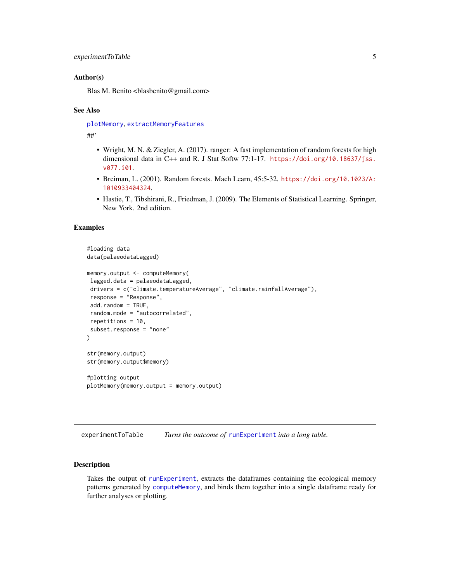#### <span id="page-4-0"></span>Author(s)

Blas M. Benito <br/> <br/>blasbenito@gmail.com>

#### See Also

[plotMemory](#page-14-1), [extractMemoryFeatures](#page-5-1)

##'

- Wright, M. N. & Ziegler, A. (2017). ranger: A fast implementation of random forests for high dimensional data in C++ and R. J Stat Softw 77:1-17. [https://doi.org/10.18637/jss.](https://doi.org/10.18637/jss.v077.i01) [v077.i01](https://doi.org/10.18637/jss.v077.i01).
- Breiman, L. (2001). Random forests. Mach Learn, 45:5-32. [https://doi.org/10.1023/A:](https://doi.org/10.1023/A:1010933404324) [1010933404324](https://doi.org/10.1023/A:1010933404324).
- Hastie, T., Tibshirani, R., Friedman, J. (2009). The Elements of Statistical Learning. Springer, New York. 2nd edition.

#### Examples

```
#loading data
data(palaeodataLagged)
memory.output <- computeMemory(
lagged.data = palaeodataLagged,
drivers = c("climate.temperatureAverage", "climate.rainfallAverage"),
response = "Response",
add.random = TRUE,
random.mode = "autocorrelated",
repetitions = 10,
subset.response = "none"
)
str(memory.output)
str(memory.output$memory)
#plotting output
plotMemory(memory.output = memory.output)
```
<span id="page-4-1"></span>experimentToTable *Turns the outcome of* [runExperiment](#page-17-1) *into a long table.*

#### Description

Takes the output of [runExperiment](#page-17-1), extracts the dataframes containing the ecological memory patterns generated by [computeMemory](#page-2-1), and binds them together into a single dataframe ready for further analyses or plotting.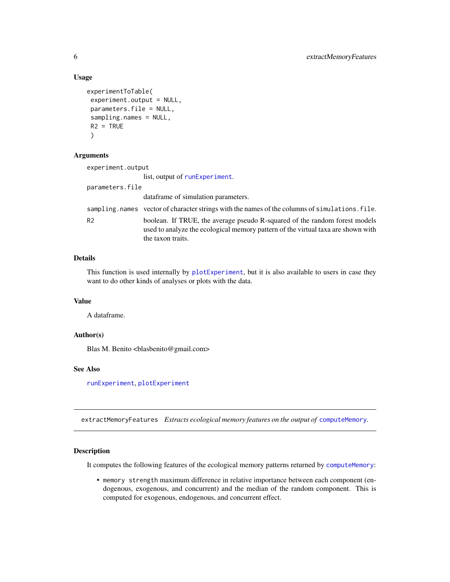#### Usage

```
experimentToTable(
experiment.output = NULL,
parameters.file = NULL,
sampling.names = NULL,
R2 = TRUE\lambda
```
#### Arguments

| experiment.output |                                                                                                                                                                                     |
|-------------------|-------------------------------------------------------------------------------------------------------------------------------------------------------------------------------------|
|                   | list, output of runExperiment.                                                                                                                                                      |
| parameters.file   |                                                                                                                                                                                     |
|                   | data frame of simulation parameters.                                                                                                                                                |
|                   | sampling, names vector of character strings with the names of the columns of simulations, file.                                                                                     |
| R <sub>2</sub>    | boolean. If TRUE, the average pseudo R-squared of the random forest models<br>used to analyze the ecological memory pattern of the virtual taxa are shown with<br>the taxon traits. |

## Details

This function is used internally by [plotExperiment](#page-12-1), but it is also available to users in case they want to do other kinds of analyses or plots with the data.

## Value

A dataframe.

#### Author(s)

Blas M. Benito <br/> <br/>blasbenito@gmail.com>

## See Also

[runExperiment](#page-17-1), [plotExperiment](#page-12-1)

<span id="page-5-1"></span>extractMemoryFeatures *Extracts ecological memory features on the output of* [computeMemory](#page-2-1)*.*

## Description

It computes the following features of the ecological memory patterns returned by [computeMemory](#page-2-1):

• memory strength maximum difference in relative importance between each component (endogenous, exogenous, and concurrent) and the median of the random component. This is computed for exogenous, endogenous, and concurrent effect.

<span id="page-5-0"></span>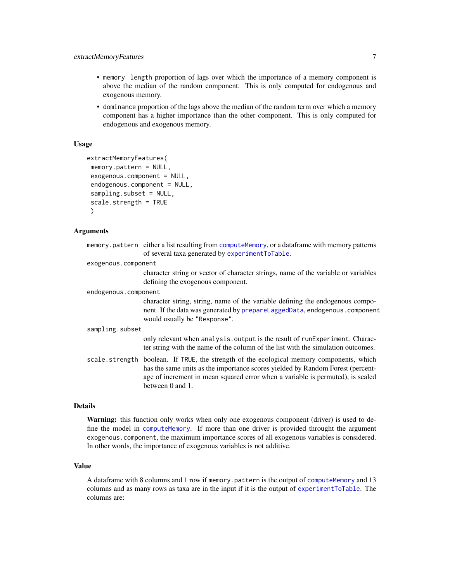- <span id="page-6-0"></span>• memory length proportion of lags over which the importance of a memory component is above the median of the random component. This is only computed for endogenous and exogenous memory.
- dominance proportion of the lags above the median of the random term over which a memory component has a higher importance than the other component. This is only computed for endogenous and exogenous memory.

#### Usage

```
extractMemoryFeatures(
memory.pattern = NULL,
exogenous.component = NULL,
endogenous.component = NULL,
sampling.subset = NULL,
scale.strength = TRUE
)
```
## Arguments

|                      | memory.pattern either a list resulting from computeMemory, or a dataframe with memory patterns<br>of several taxa generated by experimentToTable.                                                                                                                                |
|----------------------|----------------------------------------------------------------------------------------------------------------------------------------------------------------------------------------------------------------------------------------------------------------------------------|
| exogenous.component  |                                                                                                                                                                                                                                                                                  |
|                      | character string or vector of character strings, name of the variable or variables<br>defining the exogenous component.                                                                                                                                                          |
| endogenous.component |                                                                                                                                                                                                                                                                                  |
|                      | character string, string, name of the variable defining the endogenous compo-<br>nent. If the data was generated by prepareLaggedData, endogenous. component<br>would usually be "Response".                                                                                     |
| sampling.subset      |                                                                                                                                                                                                                                                                                  |
|                      | only relevant when analysis. output is the result of runExperiment. Charac-<br>ter string with the name of the column of the list with the simulation outcomes.                                                                                                                  |
|                      | scale.strength boolean. If TRUE, the strength of the ecological memory components, which<br>has the same units as the importance scores yielded by Random Forest (percent-<br>age of increment in mean squared error when a variable is permuted), is scaled<br>between 0 and 1. |

## Details

Warning: this function only works when only one exogenous component (driver) is used to define the model in [computeMemory](#page-2-1). If more than one driver is provided throught the argument exogenous.component, the maximum importance scores of all exogenous variables is considered. In other words, the importance of exogenous variables is not additive.

#### Value

A dataframe with 8 columns and 1 row if memory.pattern is the output of [computeMemory](#page-2-1) and 13 columns and as many rows as taxa are in the input if it is the output of [experimentToTable](#page-4-1). The columns are: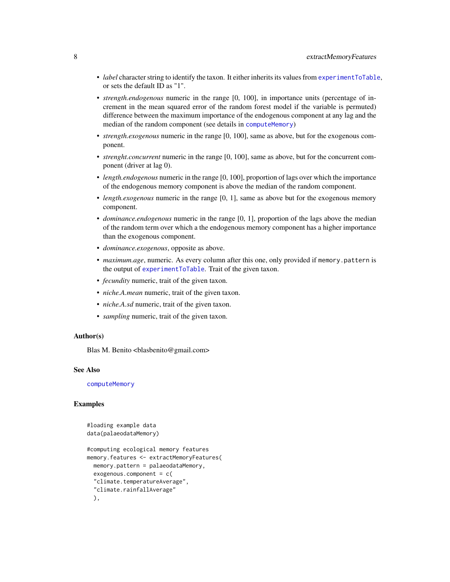- <span id="page-7-0"></span>• *label* character string to identify the taxon. It either inherits its values from [experimentToTable](#page-4-1), or sets the default ID as "1".
- *strength.endogenous* numeric in the range [0, 100], in importance units (percentage of increment in the mean squared error of the random forest model if the variable is permuted) difference between the maximum importance of the endogenous component at any lag and the median of the random component (see details in [computeMemory](#page-2-1))
- *strength.exogenous* numeric in the range [0, 100], same as above, but for the exogenous component.
- *strenght.concurrent* numeric in the range [0, 100], same as above, but for the concurrent component (driver at lag 0).
- *length.endogenous* numeric in the range [0, 100], proportion of lags over which the importance of the endogenous memory component is above the median of the random component.
- *length.exogenous* numeric in the range [0, 1], same as above but for the exogenous memory component.
- *dominance.endogenous* numeric in the range [0, 1], proportion of the lags above the median of the random term over which a the endogenous memory component has a higher importance than the exogenous component.
- *dominance.exogenous*, opposite as above.
- *maximum.age*, numeric. As every column after this one, only provided if memory.pattern is the output of [experimentToTable](#page-4-1). Trait of the given taxon.
- *fecundity* numeric, trait of the given taxon.
- *niche.A.mean* numeric, trait of the given taxon.
- *niche.A.sd* numeric, trait of the given taxon.
- *sampling* numeric, trait of the given taxon.

#### Author(s)

Blas M. Benito <br/> <br/>blasbenito@gmail.com>

#### See Also

[computeMemory](#page-2-1)

## Examples

```
#loading example data
data(palaeodataMemory)
```

```
#computing ecological memory features
memory.features <- extractMemoryFeatures(
 memory.pattern = palaeodataMemory,
 exogenous.component = c(
 "climate.temperatureAverage",
 "climate.rainfallAverage"
 ),
```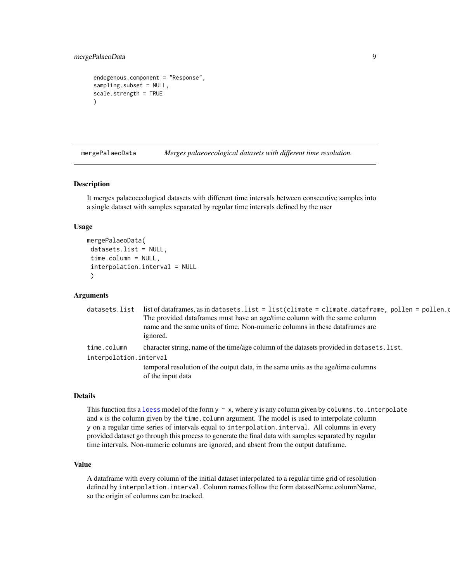## <span id="page-8-0"></span>mergePalaeoData 9

```
endogenous.component = "Response",
sampling.subset = NULL,
scale.strength = TRUE
)
```
<span id="page-8-1"></span>mergePalaeoData *Merges palaeoecological datasets with different time resolution.*

#### Description

It merges palaeoecological datasets with different time intervals between consecutive samples into a single dataset with samples separated by regular time intervals defined by the user

#### Usage

```
mergePalaeoData(
datasets.list = NULL,
time.column = NULL,
interpolation.interval = NULL
)
```
## Arguments

| datasets.list          | list of dataframes, as in datasets. list = list(climate = climate. dataframe, pollen = pollen.         |
|------------------------|--------------------------------------------------------------------------------------------------------|
|                        | The provided dataframes must have an age/time column with the same column                              |
|                        | name and the same units of time. Non-numeric columns in these data frames are                          |
|                        | ignored.                                                                                               |
| time.column            | character string, name of the time/age column of the datasets provided in datasets. list.              |
| interpolation.interval |                                                                                                        |
|                        | temporal resolution of the output data, in the same units as the age/time columns<br>of the input data |

#### Details

This function fits a [loess](#page-0-0) model of the form  $y \sim x$ , where y is any column given by columns. to. interpolate and x is the column given by the time.column argument. The model is used to interpolate column y on a regular time series of intervals equal to interpolation.interval. All columns in every provided dataset go through this process to generate the final data with samples separated by regular time intervals. Non-numeric columns are ignored, and absent from the output dataframe.

#### Value

A dataframe with every column of the initial dataset interpolated to a regular time grid of resolution defined by interpolation.interval. Column names follow the form datasetName.columnName, so the origin of columns can be tracked.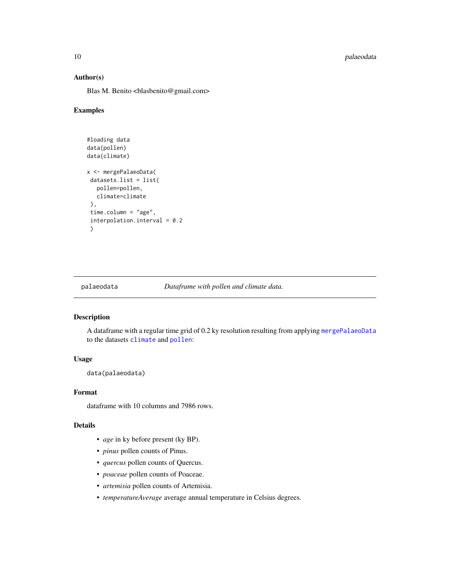<span id="page-9-0"></span>10 palaeodata

#### Author(s)

Blas M. Benito <br/> <br/>blasbenito@gmail.com>

#### Examples

```
#loading data
data(pollen)
data(climate)
x <- mergePalaeoData(
 datasets.list = list(
  pollen=pollen,
  climate=climate
 ),
 time.column = "age",
 interpolation.interval = 0.2
 )
```
<span id="page-9-1"></span>

palaeodata *Dataframe with pollen and climate data.*

#### Description

A dataframe with a regular time grid of 0.2 ky resolution resulting from applying [mergePalaeoData](#page-8-1) to the datasets [climate](#page-1-1) and [pollen](#page-15-1):

## Usage

data(palaeodata)

## Format

dataframe with 10 columns and 7986 rows.

#### Details

- *age* in ky before present (ky BP).
- *pinus* pollen counts of Pinus.
- *quercus* pollen counts of Quercus.
- *poaceae* pollen counts of Poaceae.
- *artemisia* pollen counts of Artemisia.
- *temperatureAverage* average annual temperature in Celsius degrees.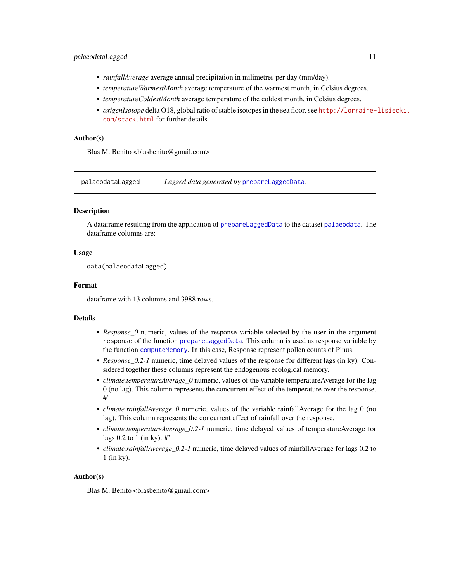#### <span id="page-10-0"></span>palaeodataLagged 11

- *rainfallAverage* average annual precipitation in milimetres per day (mm/day).
- *temperatureWarmestMonth* average temperature of the warmest month, in Celsius degrees.
- *temperatureColdestMonth* average temperature of the coldest month, in Celsius degrees.
- *oxigenIsotope* delta O18, global ratio of stable isotopes in the sea floor, see [http://lorraine-](http://lorraine-lisiecki.com/stack.html)lisiecki. [com/stack.html](http://lorraine-lisiecki.com/stack.html) for further details.

#### Author(s)

Blas M. Benito <br/> <br/>blasbenito@gmail.com>

<span id="page-10-1"></span>palaeodataLagged *Lagged data generated by* [prepareLaggedData](#page-16-1)*.*

#### **Description**

A dataframe resulting from the application of [prepareLaggedData](#page-16-1) to the dataset [palaeodata](#page-9-1). The dataframe columns are:

#### Usage

data(palaeodataLagged)

#### Format

dataframe with 13 columns and 3988 rows.

#### Details

- *Response\_0* numeric, values of the response variable selected by the user in the argument response of the function [prepareLaggedData](#page-16-1). This column is used as response variable by the function [computeMemory](#page-2-1). In this case, Response represent pollen counts of Pinus.
- *Response\_0.2-1* numeric, time delayed values of the response for different lags (in ky). Considered together these columns represent the endogenous ecological memory.
- *climate.temperatureAverage\_0* numeric, values of the variable temperatureAverage for the lag 0 (no lag). This column represents the concurrent effect of the temperature over the response. #'
- *climate.rainfallAverage\_0* numeric, values of the variable rainfallAverage for the lag 0 (no lag). This column represents the concurrent effect of rainfall over the response.
- *climate.temperatureAverage\_0.2-1* numeric, time delayed values of temperatureAverage for lags  $0.2$  to  $1$  (in ky). #'
- *climate.rainfallAverage\_0.2-1* numeric, time delayed values of rainfallAverage for lags 0.2 to 1 (in ky).

#### Author(s)

Blas M. Benito <br/> <br/>blasbenito@gmail.com>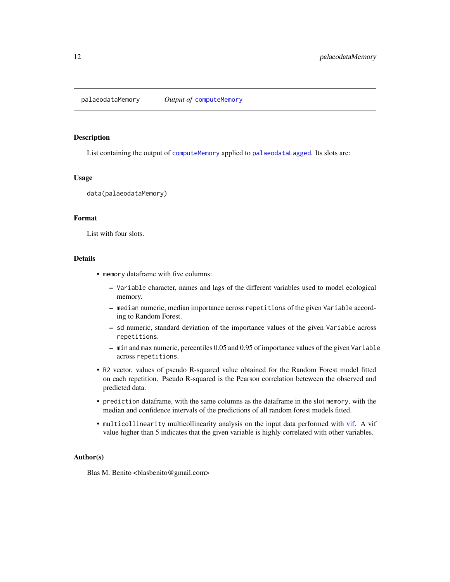<span id="page-11-0"></span>palaeodataMemory *Output of* [computeMemory](#page-2-1)

#### Description

List containing the output of [computeMemory](#page-2-1) applied to [palaeodataLagged](#page-10-1). Its slots are:

## Usage

data(palaeodataMemory)

#### Format

List with four slots.

#### Details

- memory dataframe with five columns:
	- Variable character, names and lags of the different variables used to model ecological memory.
	- median numeric, median importance across repetitions of the given Variable according to Random Forest.
	- sd numeric, standard deviation of the importance values of the given Variable across repetitions.
	- min and max numeric, percentiles 0.05 and 0.95 of importance values of the given Variable across repetitions.
- R2 vector, values of pseudo R-squared value obtained for the Random Forest model fitted on each repetition. Pseudo R-squared is the Pearson correlation beteween the observed and predicted data.
- prediction dataframe, with the same columns as the dataframe in the slot memory, with the median and confidence intervals of the predictions of all random forest models fitted.
- multicollinearity multicollinearity analysis on the input data performed with [vif.](#page-0-0) A vif value higher than 5 indicates that the given variable is highly correlated with other variables.

#### Author(s)

Blas M. Benito <br/> <br/>blasbenito@gmail.com>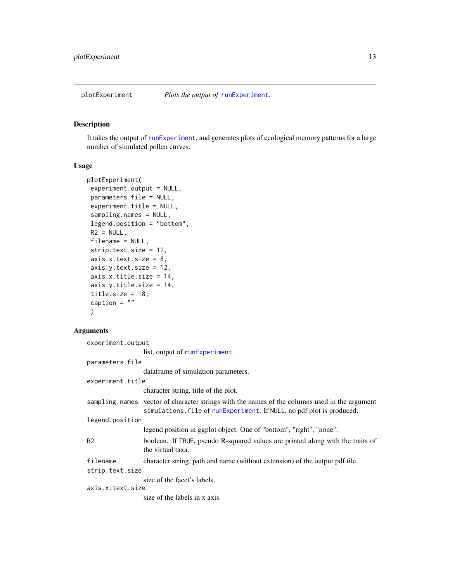<span id="page-12-1"></span><span id="page-12-0"></span>

#### Description

It takes the output of [runExperiment](#page-17-1), and generates plots of ecological memory patterns for a large number of simulated pollen curves.

#### Usage

```
plotExperiment(
experiment.output = NULL,
parameters.file = NULL,
experiment.title = NULL,
sampling.names = NULL,
legend.position = "bottom",
R2 = NULL,filename = NULL,
strip.text.size = 12,
axis.x.text.size = 8,
axis.y.text.size = 12,
axis.x.title.size = 14,
axis.y.title.size = 14,
title.size = 18,
caption = ""
)
```
#### **Arguments**

experiment.output list, output of [runExperiment](#page-17-1). parameters.file dataframe of simulation parameters. experiment.title character string, title of the plot. sampling.names vector of character strings with the names of the columns used in the argument simulations.file of [runExperiment](#page-17-1). If NULL, no pdf plot is produced. legend.position legend position in ggplot object. One of "bottom", "right", "none". R2 boolean. If TRUE, pseudo R-squared values are printed along with the traits of the virtual taxa. filename character string, path and name (without extension) of the output pdf file. strip.text.size size of the facet's labels. axis.x.text.size size of the labels in x axis.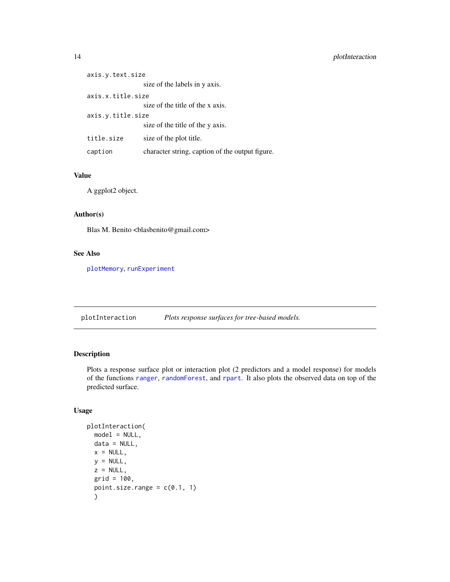<span id="page-13-0"></span>

| axis.y.text.size  |                                                 |
|-------------------|-------------------------------------------------|
|                   | size of the labels in y axis.                   |
| axis.x.title.size |                                                 |
|                   | size of the title of the x axis.                |
| axis.y.title.size |                                                 |
|                   | size of the title of the y axis.                |
| title.size        | size of the plot title.                         |
| caption           | character string, caption of the output figure. |

## Value

A ggplot2 object.

## Author(s)

Blas M. Benito <br/> <br/>blasbenito@gmail.com>

## See Also

[plotMemory](#page-14-1), [runExperiment](#page-17-1)

plotInteraction *Plots response surfaces for tree-based models.*

## Description

Plots a response surface plot or interaction plot (2 predictors and a model response) for models of the functions [ranger](#page-0-0), [randomForest](#page-0-0), and [rpart](#page-0-0). It also plots the observed data on top of the predicted surface.

#### Usage

```
plotInteraction(
 model = NULL,data = NULL,x = NULL,y = NULL,z = NULL,grid = 100,point.size.range = c(0.1, 1))
```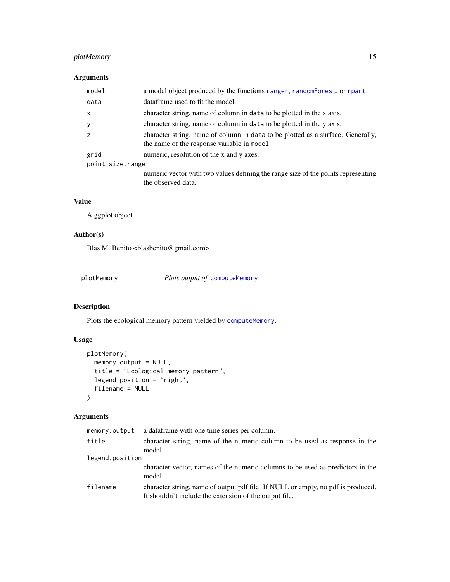## <span id="page-14-0"></span>plotMemory 15

## Arguments

| model            | a model object produced by the functions ranger, random Forest, or rpart.                                                      |
|------------------|--------------------------------------------------------------------------------------------------------------------------------|
| data             | dataframe used to fit the model.                                                                                               |
| $\mathsf{x}$     | character string, name of column in data to be plotted in the x axis.                                                          |
| y                | character string, name of column in data to be plotted in the y axis.                                                          |
| Z                | character string, name of column in data to be plotted as a surface. Generally,<br>the name of the response variable in model. |
| grid             | numeric, resolution of the x and y axes.                                                                                       |
| point.size.range |                                                                                                                                |
|                  | numeric vector with two values defining the range size of the points representing<br>the observed data.                        |

#### Value

A ggplot object.

## Author(s)

Blas M. Benito <br/> <br/>blasbenito@gmail.com>

<span id="page-14-1"></span>plotMemory *Plots output of* [computeMemory](#page-2-1)

## Description

Plots the ecological memory pattern yielded by [computeMemory](#page-2-1).

## Usage

```
plotMemory(
  memory.output = NULL,
  title = "Ecological memory pattern",
  legend.position = "right",
  filename = NULL
\mathcal{L}
```
## Arguments

| memory.output   | a data frame with one time series per column.                                                                                              |
|-----------------|--------------------------------------------------------------------------------------------------------------------------------------------|
| title           | character string, name of the numeric column to be used as response in the<br>model.                                                       |
| legend.position |                                                                                                                                            |
|                 | character vector, names of the numeric columns to be used as predictors in the<br>model.                                                   |
| filename        | character string, name of output pdf file. If NULL or empty, no pdf is produced.<br>It shouldn't include the extension of the output file. |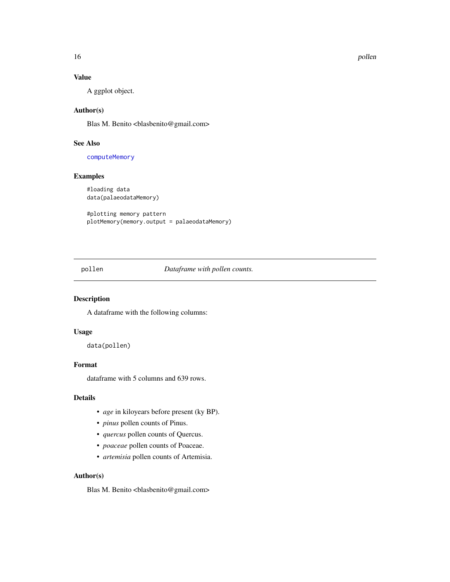16 pollen and the pollen set of the set of the pollen set of the pollen set of the pollen set of the set of the set of the set of the set of the set of the set of the set of the set of the set of the set of the set of the

## Value

A ggplot object.

## Author(s)

Blas M. Benito <br/> <br/>blasbenito@gmail.com>

## See Also

[computeMemory](#page-2-1)

## Examples

#loading data data(palaeodataMemory)

#plotting memory pattern plotMemory(memory.output = palaeodataMemory)

<span id="page-15-1"></span>pollen *Dataframe with pollen counts.*

## Description

A dataframe with the following columns:

## Usage

data(pollen)

#### Format

dataframe with 5 columns and 639 rows.

#### Details

- *age* in kiloyears before present (ky BP).
- *pinus* pollen counts of Pinus.
- *quercus* pollen counts of Quercus.
- *poaceae* pollen counts of Poaceae.
- *artemisia* pollen counts of Artemisia.

#### Author(s)

Blas M. Benito <br/> <br/>blasbenito@gmail.com>

<span id="page-15-0"></span>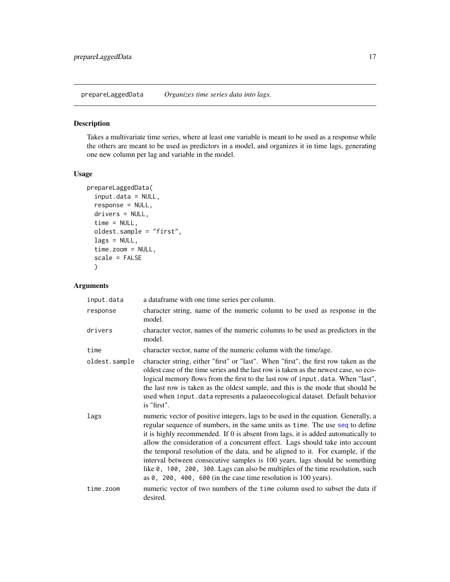<span id="page-16-1"></span><span id="page-16-0"></span>prepareLaggedData *Organizes time series data into lags.*

#### Description

Takes a multivariate time series, where at least one variable is meant to be used as a response while the others are meant to be used as predictors in a model, and organizes it in time lags, generating one new column per lag and variable in the model.

#### Usage

```
prepareLaggedData(
  input.data = NULL,
  response = NULL,
  drivers = NULL,
  time = NULL,
  oldest.sample = "first",
  lags = NULL,time.zoom = NULL,
  scale = FALSE
  )
```
## Arguments

| input.data    | a data frame with one time series per column.                                                                                                                                                                                                                                                                                                                                                                                                                                                                                                                                                                                                                          |
|---------------|------------------------------------------------------------------------------------------------------------------------------------------------------------------------------------------------------------------------------------------------------------------------------------------------------------------------------------------------------------------------------------------------------------------------------------------------------------------------------------------------------------------------------------------------------------------------------------------------------------------------------------------------------------------------|
| response      | character string, name of the numeric column to be used as response in the<br>model.                                                                                                                                                                                                                                                                                                                                                                                                                                                                                                                                                                                   |
| drivers       | character vector, names of the numeric columns to be used as predictors in the<br>model.                                                                                                                                                                                                                                                                                                                                                                                                                                                                                                                                                                               |
| time          | character vector, name of the numeric column with the time/age.                                                                                                                                                                                                                                                                                                                                                                                                                                                                                                                                                                                                        |
| oldest.sample | character string, either "first" or "last". When "first", the first row taken as the<br>oldest case of the time series and the last row is taken as the newest case, so eco-<br>logical memory flows from the first to the last row of input.data. When "last",<br>the last row is taken as the oldest sample, and this is the mode that should be<br>used when input.data represents a palaeoecological dataset. Default behavior<br>is "first".                                                                                                                                                                                                                      |
| lags          | numeric vector of positive integers, lags to be used in the equation. Generally, a<br>regular sequence of numbers, in the same units as time. The use seq to define<br>it is highly recommended. If 0 is absent from lags, it is added automatically to<br>allow the consideration of a concurrent effect. Lags should take into account<br>the temporal resolution of the data, and be aligned to it. For example, if the<br>interval between consecutive samples is 100 years, lags should be something<br>like 0, 100, 200, 300. Lags can also be multiples of the time resolution, such<br>as $\theta$ , 200, 400, 600 (in the case time resolution is 100 years). |
| time.zoom     | numeric vector of two numbers of the time column used to subset the data if<br>desired.                                                                                                                                                                                                                                                                                                                                                                                                                                                                                                                                                                                |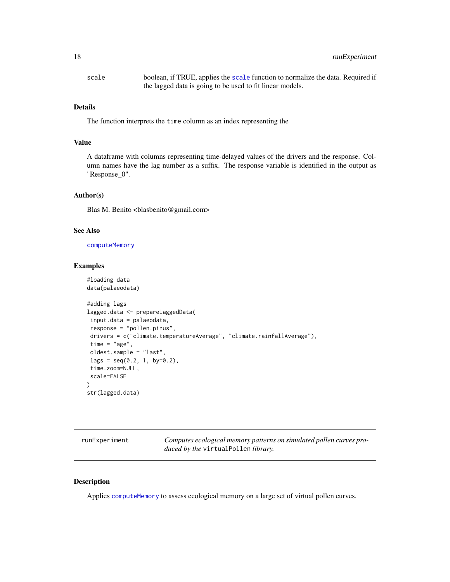## <span id="page-17-0"></span>18 runExperiment

| scale | boolean, if TRUE, applies the scale function to normalize the data. Required if |
|-------|---------------------------------------------------------------------------------|
|       | the lagged data is going to be used to fit linear models.                       |

#### Details

The function interprets the time column as an index representing the

## Value

A dataframe with columns representing time-delayed values of the drivers and the response. Column names have the lag number as a suffix. The response variable is identified in the output as "Response\_0".

#### Author(s)

Blas M. Benito <br/> <br/>blasbenito@gmail.com>

#### See Also

[computeMemory](#page-2-1)

## Examples

```
#loading data
data(palaeodata)
#adding lags
lagged.data <- prepareLaggedData(
input.data = palaeodata,
response = "pollen.pinus",
 drivers = c("climate.temperatureAverage", "climate.rainfallAverage"),
 time = "age",oldest.sample = "last",
 lags = seq(0.2, 1, by=0.2),time.zoom=NULL,
 scale=FALSE
\mathcal{L}str(lagged.data)
```
<span id="page-17-1"></span>

| runExperiment | Computes ecological memory patterns on simulated pollen curves pro- |
|---------------|---------------------------------------------------------------------|
|               | <i>duced by the virtualPollen library.</i>                          |

## Description

Applies [computeMemory](#page-2-1) to assess ecological memory on a large set of virtual pollen curves.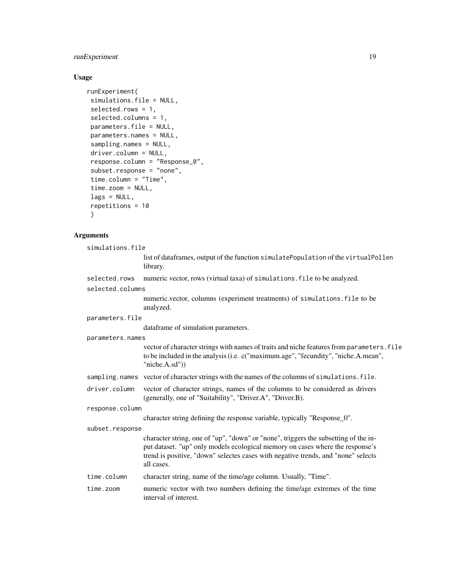## runExperiment 19

## Usage

```
runExperiment(
simulations.file = NULL,
selected.rows = 1,
selected.columns = 1,
parameters.file = NULL,
parameters.names = NULL,
sampling.names = NULL,
driver.column = NULL,
response.column = "Response_0",
subset.response = "none",
time.column = "Time",
time.zoom = NULL,
lags = NULL,repetitions = 10
)
```
## Arguments

| simulations.file |                                                                                                                                                                                                                                                                         |
|------------------|-------------------------------------------------------------------------------------------------------------------------------------------------------------------------------------------------------------------------------------------------------------------------|
|                  | list of dataframes, output of the function simulatePopulation of the virtualPollen<br>library.                                                                                                                                                                          |
| selected.rows    | numeric vector, rows (virtual taxa) of simulations. file to be analyzed.                                                                                                                                                                                                |
| selected.columns |                                                                                                                                                                                                                                                                         |
|                  | numeric.vector, columns (experiment treatments) of simulations. file to be<br>analyzed.                                                                                                                                                                                 |
| parameters.file  |                                                                                                                                                                                                                                                                         |
|                  | dataframe of simulation parameters.                                                                                                                                                                                                                                     |
| parameters.names |                                                                                                                                                                                                                                                                         |
|                  | vector of character strings with names of traits and niche features from parameters. file<br>to be included in the analysis (i.e. c("maximum.age", "fecundity", "niche.A.mean",<br>"niche.A.sd")                                                                        |
|                  | sampling.names vector of character strings with the names of the columns of simulations.file.                                                                                                                                                                           |
| driver.column    | vector of character strings, names of the columns to be considered as drivers<br>(generally, one of "Suitability", "Driver.A", "Driver.B).                                                                                                                              |
| response.column  |                                                                                                                                                                                                                                                                         |
|                  | character string defining the response variable, typically "Response_0".                                                                                                                                                                                                |
| subset.response  |                                                                                                                                                                                                                                                                         |
|                  | character string, one of "up", "down" or "none", triggers the subsetting of the in-<br>put dataset. "up" only models ecological memory on cases where the response's<br>trend is positive, "down" selectes cases with negative trends, and "none" selects<br>all cases. |
| time.column      | character string, name of the time/age column. Usually, "Time".                                                                                                                                                                                                         |
| time.zoom        | numeric vector with two numbers defining the time/age extremes of the time<br>interval of interest.                                                                                                                                                                     |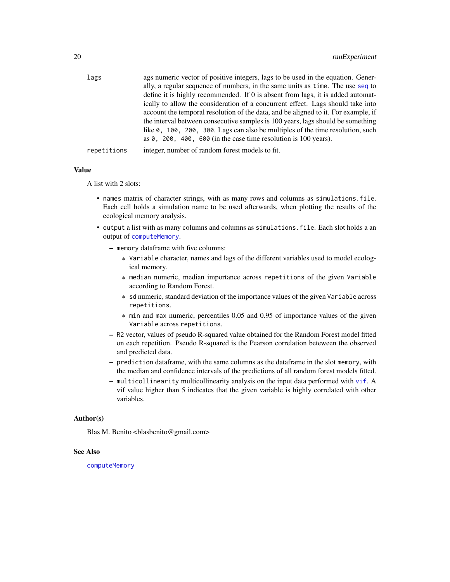<span id="page-19-0"></span>

| lags        | ags numeric vector of positive integers, lags to be used in the equation. Gener-   |
|-------------|------------------------------------------------------------------------------------|
|             | ally, a regular sequence of numbers, in the same units as time. The use seq to     |
|             | define it is highly recommended. If 0 is absent from lags, it is added automat-    |
|             | ically to allow the consideration of a concurrent effect. Lags should take into    |
|             | account the temporal resolution of the data, and be aligned to it. For example, if |
|             | the interval between consecutive samples is 100 years, lags should be something    |
|             | like 0, 100, 200, 300. Lags can also be multiples of the time resolution, such     |
|             | as $\theta$ , 200, 400, 600 (in the case time resolution is 100 years).            |
| repetitions | integer, number of random forest models to fit.                                    |

#### Value

A list with 2 slots:

- names matrix of character strings, with as many rows and columns as simulations.file. Each cell holds a simulation name to be used afterwards, when plotting the results of the ecological memory analysis.
- output a list with as many columns and columns as simulations.file. Each slot holds a an output of [computeMemory](#page-2-1).
	- memory dataframe with five columns:
		- \* Variable character, names and lags of the different variables used to model ecological memory.
		- \* median numeric, median importance across repetitions of the given Variable according to Random Forest.
		- \* sd numeric, standard deviation of the importance values of the given Variable across repetitions.
		- \* min and max numeric, percentiles 0.05 and 0.95 of importance values of the given Variable across repetitions.
	- R2 vector, values of pseudo R-squared value obtained for the Random Forest model fitted on each repetition. Pseudo R-squared is the Pearson correlation beteween the observed and predicted data.
	- prediction dataframe, with the same columns as the dataframe in the slot memory, with the median and confidence intervals of the predictions of all random forest models fitted.
	- multicollinearity multicollinearity analysis on the input data performed with [vif](#page-0-0). A vif value higher than 5 indicates that the given variable is highly correlated with other variables.

#### Author(s)

Blas M. Benito <br/> <br/>blasbenito@gmail.com>

#### See Also

[computeMemory](#page-2-1)